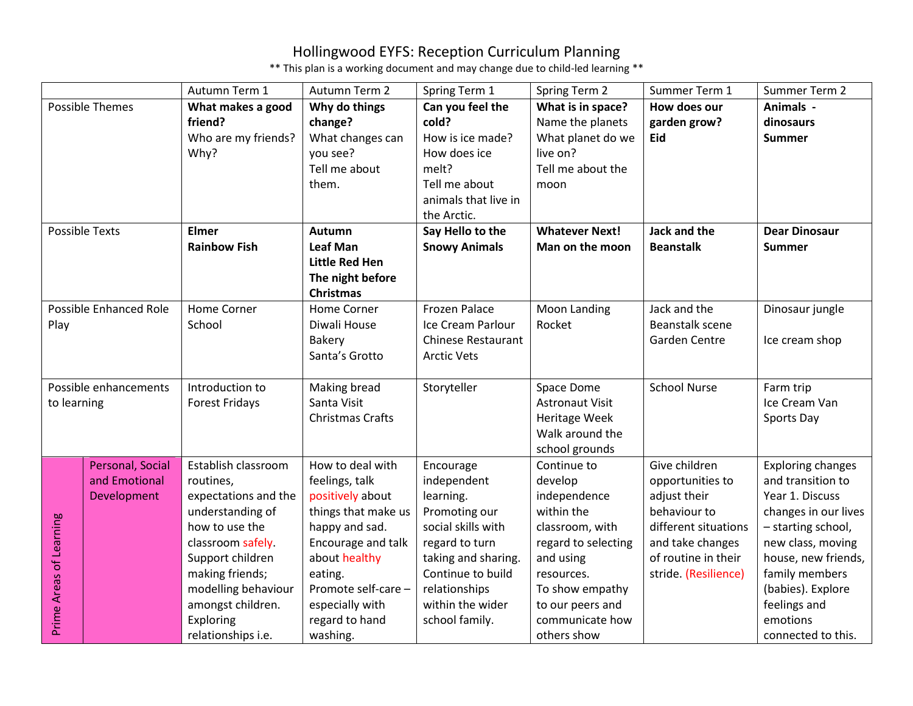|                         |                        | Autumn Term 1         | Autumn Term 2           | Spring Term 1             | Spring Term 2          | Summer Term 1        | Summer Term 2            |
|-------------------------|------------------------|-----------------------|-------------------------|---------------------------|------------------------|----------------------|--------------------------|
| Possible Themes         |                        | What makes a good     | Why do things           | Can you feel the          | What is in space?      | How does our         | Animals -                |
|                         |                        | friend?               | change?                 | cold?                     | Name the planets       | garden grow?         | dinosaurs                |
|                         |                        | Who are my friends?   | What changes can        | How is ice made?          | What planet do we      | <b>Eid</b>           | <b>Summer</b>            |
|                         |                        | Why?                  | you see?                | How does ice              | live on?               |                      |                          |
|                         |                        |                       | Tell me about           | melt?                     | Tell me about the      |                      |                          |
|                         |                        |                       | them.                   | Tell me about             | moon                   |                      |                          |
|                         |                        |                       |                         | animals that live in      |                        |                      |                          |
|                         |                        |                       |                         | the Arctic.               |                        |                      |                          |
| <b>Possible Texts</b>   |                        | <b>Elmer</b>          | <b>Autumn</b>           | Say Hello to the          | <b>Whatever Next!</b>  | Jack and the         | <b>Dear Dinosaur</b>     |
|                         |                        | <b>Rainbow Fish</b>   | <b>Leaf Man</b>         | <b>Snowy Animals</b>      | Man on the moon        | <b>Beanstalk</b>     | <b>Summer</b>            |
|                         |                        |                       | <b>Little Red Hen</b>   |                           |                        |                      |                          |
|                         |                        |                       | The night before        |                           |                        |                      |                          |
|                         |                        |                       | <b>Christmas</b>        |                           |                        |                      |                          |
|                         | Possible Enhanced Role | <b>Home Corner</b>    | Home Corner             | <b>Frozen Palace</b>      | Moon Landing           | Jack and the         | Dinosaur jungle          |
| Play                    |                        | School                | Diwali House            | Ice Cream Parlour         | Rocket                 | Beanstalk scene      |                          |
|                         |                        |                       | <b>Bakery</b>           | <b>Chinese Restaurant</b> |                        | Garden Centre        | Ice cream shop           |
|                         |                        |                       | Santa's Grotto          | <b>Arctic Vets</b>        |                        |                      |                          |
|                         |                        |                       |                         |                           |                        |                      |                          |
|                         | Possible enhancements  | Introduction to       | Making bread            | Storyteller               | Space Dome             | <b>School Nurse</b>  | Farm trip                |
| to learning             |                        | <b>Forest Fridays</b> | Santa Visit             |                           | <b>Astronaut Visit</b> |                      | Ice Cream Van            |
|                         |                        |                       | <b>Christmas Crafts</b> |                           | Heritage Week          |                      | Sports Day               |
|                         |                        |                       |                         |                           | Walk around the        |                      |                          |
|                         |                        |                       |                         |                           | school grounds         |                      |                          |
|                         | Personal, Social       | Establish classroom   | How to deal with        | Encourage                 | Continue to            | Give children        | <b>Exploring changes</b> |
|                         | and Emotional          | routines,             | feelings, talk          | independent               | develop                | opportunities to     | and transition to        |
|                         | Development            | expectations and the  | positively about        | learning.                 | independence           | adjust their         | Year 1. Discuss          |
| Prime Areas of Learning |                        | understanding of      | things that make us     | Promoting our             | within the             | behaviour to         | changes in our lives     |
|                         |                        | how to use the        | happy and sad.          | social skills with        | classroom, with        | different situations | - starting school,       |
|                         |                        | classroom safely.     | Encourage and talk      | regard to turn            | regard to selecting    | and take changes     | new class, moving        |
|                         |                        | Support children      | about healthy           | taking and sharing.       | and using              | of routine in their  | house, new friends,      |
|                         |                        | making friends;       | eating.                 | Continue to build         | resources.             | stride. (Resilience) | family members           |
|                         |                        | modelling behaviour   | Promote self-care -     | relationships             | To show empathy        |                      | (babies). Explore        |
|                         |                        | amongst children.     | especially with         | within the wider          | to our peers and       |                      | feelings and             |
|                         |                        | Exploring             | regard to hand          | school family.            | communicate how        |                      | emotions                 |
|                         |                        | relationships i.e.    | washing.                |                           | others show            |                      | connected to this.       |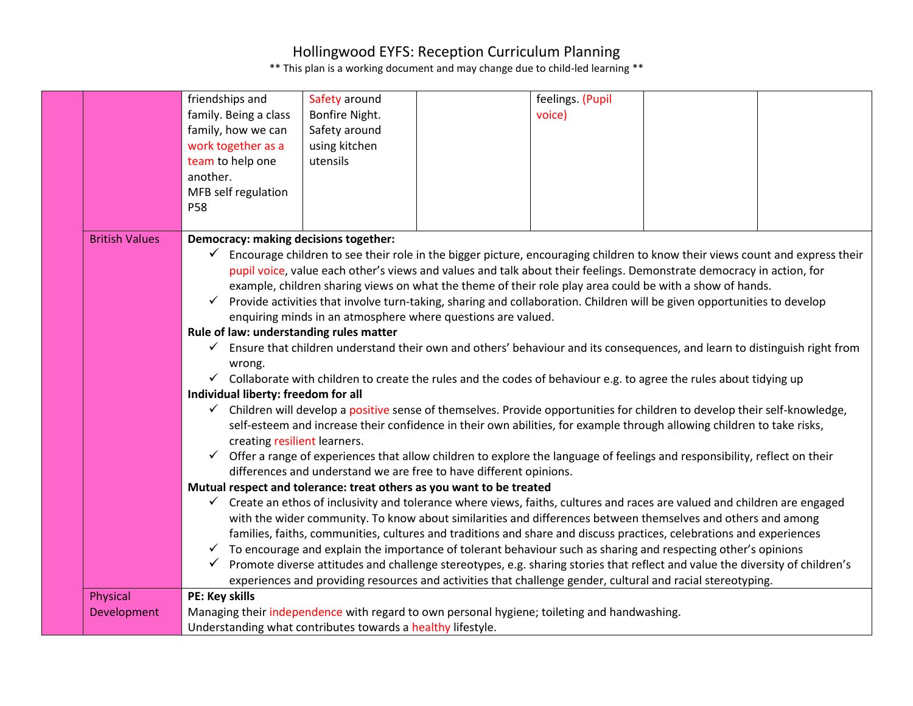|                                                                                                                                                                                                                                                                                                                                                                                                                                                                                                                                                                                                                                                                                                                                                                                                                                                                                                                          | feelings. (Pupil<br>friendships and<br>Safety around<br>family. Being a class<br>Bonfire Night.<br>voice)<br>family, how we can<br>Safety around<br>work together as a<br>using kitchen<br>team to help one<br>utensils<br>another.<br>MFB self regulation<br>P58                                                                                                                                                                                                                                                                                                                                                                                                                                                                                                                                                                                                                                                                                                        |  |  |  |  |  |
|--------------------------------------------------------------------------------------------------------------------------------------------------------------------------------------------------------------------------------------------------------------------------------------------------------------------------------------------------------------------------------------------------------------------------------------------------------------------------------------------------------------------------------------------------------------------------------------------------------------------------------------------------------------------------------------------------------------------------------------------------------------------------------------------------------------------------------------------------------------------------------------------------------------------------|--------------------------------------------------------------------------------------------------------------------------------------------------------------------------------------------------------------------------------------------------------------------------------------------------------------------------------------------------------------------------------------------------------------------------------------------------------------------------------------------------------------------------------------------------------------------------------------------------------------------------------------------------------------------------------------------------------------------------------------------------------------------------------------------------------------------------------------------------------------------------------------------------------------------------------------------------------------------------|--|--|--|--|--|
| <b>British Values</b>                                                                                                                                                                                                                                                                                                                                                                                                                                                                                                                                                                                                                                                                                                                                                                                                                                                                                                    | Democracy: making decisions together:<br>$\checkmark$<br>Encourage children to see their role in the bigger picture, encouraging children to know their views count and express their<br>pupil voice, value each other's views and values and talk about their feelings. Demonstrate democracy in action, for<br>example, children sharing views on what the theme of their role play area could be with a show of hands.<br>Provide activities that involve turn-taking, sharing and collaboration. Children will be given opportunities to develop<br>$\checkmark$<br>enquiring minds in an atmosphere where questions are valued.<br>Rule of law: understanding rules matter<br>Ensure that children understand their own and others' behaviour and its consequences, and learn to distinguish right from<br>$\checkmark$<br>wrong.<br>$\checkmark$ Collaborate with children to create the rules and the codes of behaviour e.g. to agree the rules about tidying up |  |  |  |  |  |
|                                                                                                                                                                                                                                                                                                                                                                                                                                                                                                                                                                                                                                                                                                                                                                                                                                                                                                                          | Individual liberty: freedom for all<br>✓ Children will develop a positive sense of themselves. Provide opportunities for children to develop their self-knowledge,<br>self-esteem and increase their confidence in their own abilities, for example through allowing children to take risks,<br>creating resilient learners.<br>Offer a range of experiences that allow children to explore the language of feelings and responsibility, reflect on their                                                                                                                                                                                                                                                                                                                                                                                                                                                                                                                |  |  |  |  |  |
| differences and understand we are free to have different opinions.<br>Mutual respect and tolerance: treat others as you want to be treated<br>$\checkmark$ Create an ethos of inclusivity and tolerance where views, faiths, cultures and races are valued and children are engaged<br>with the wider community. To know about similarities and differences between themselves and others and among<br>families, faiths, communities, cultures and traditions and share and discuss practices, celebrations and experiences<br>$\checkmark$ To encourage and explain the importance of tolerant behaviour such as sharing and respecting other's opinions<br>Promote diverse attitudes and challenge stereotypes, e.g. sharing stories that reflect and value the diversity of children's<br>$\checkmark$<br>experiences and providing resources and activities that challenge gender, cultural and racial stereotyping. |                                                                                                                                                                                                                                                                                                                                                                                                                                                                                                                                                                                                                                                                                                                                                                                                                                                                                                                                                                          |  |  |  |  |  |
| Physical<br>Development                                                                                                                                                                                                                                                                                                                                                                                                                                                                                                                                                                                                                                                                                                                                                                                                                                                                                                  | PE: Key skills<br>Managing their independence with regard to own personal hygiene; toileting and handwashing.<br>Understanding what contributes towards a healthy lifestyle.                                                                                                                                                                                                                                                                                                                                                                                                                                                                                                                                                                                                                                                                                                                                                                                             |  |  |  |  |  |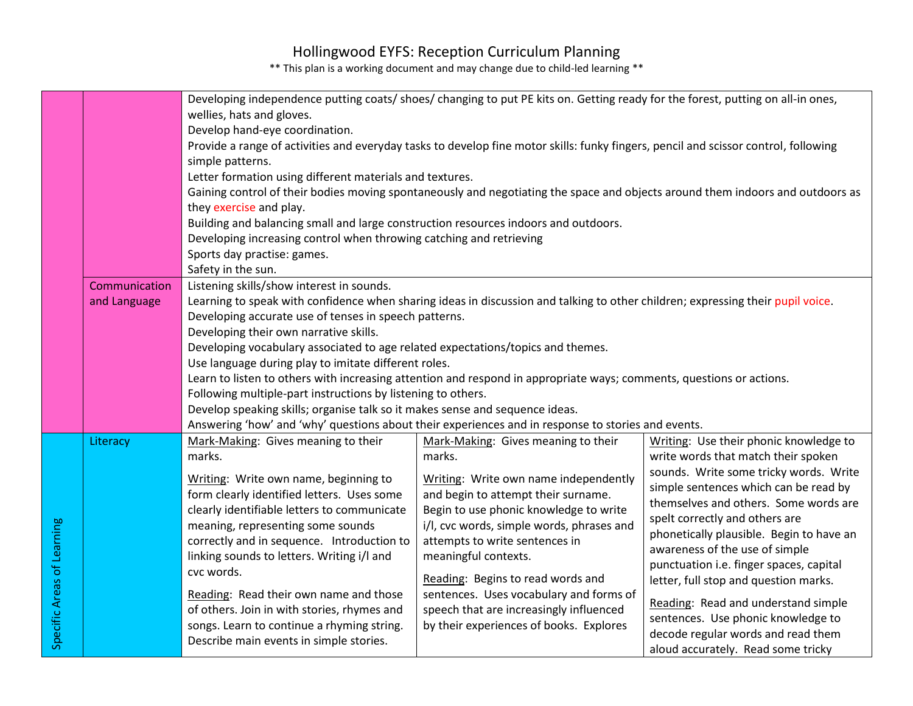| Developing independence putting coats/ shoes/ changing to put PE kits on. Getting ready for the forest, putting on all-in ones,<br>wellies, hats and gloves.<br>Develop hand-eye coordination.<br>Provide a range of activities and everyday tasks to develop fine motor skills: funky fingers, pencil and scissor control, following<br>simple patterns.<br>Letter formation using different materials and textures.<br>Gaining control of their bodies moving spontaneously and negotiating the space and objects around them indoors and outdoors as<br>they exercise and play.<br>Building and balancing small and large construction resources indoors and outdoors.<br>Developing increasing control when throwing catching and retrieving |                                                                                                                                                                                                                                                                                                                                                                                                                                                                                                                                                                                                                                                                                                                                                                                                                                                                 |                                                                                                                                                                                                                                                                                                                                                                                                                                                                                                                      |                                                                                                                                                                                                                                                                                                                                                                                                                                                      |                                                                                                                                                                                                                                                                                                                                                                                                                                                                                                                                                                        |
|--------------------------------------------------------------------------------------------------------------------------------------------------------------------------------------------------------------------------------------------------------------------------------------------------------------------------------------------------------------------------------------------------------------------------------------------------------------------------------------------------------------------------------------------------------------------------------------------------------------------------------------------------------------------------------------------------------------------------------------------------|-----------------------------------------------------------------------------------------------------------------------------------------------------------------------------------------------------------------------------------------------------------------------------------------------------------------------------------------------------------------------------------------------------------------------------------------------------------------------------------------------------------------------------------------------------------------------------------------------------------------------------------------------------------------------------------------------------------------------------------------------------------------------------------------------------------------------------------------------------------------|----------------------------------------------------------------------------------------------------------------------------------------------------------------------------------------------------------------------------------------------------------------------------------------------------------------------------------------------------------------------------------------------------------------------------------------------------------------------------------------------------------------------|------------------------------------------------------------------------------------------------------------------------------------------------------------------------------------------------------------------------------------------------------------------------------------------------------------------------------------------------------------------------------------------------------------------------------------------------------|------------------------------------------------------------------------------------------------------------------------------------------------------------------------------------------------------------------------------------------------------------------------------------------------------------------------------------------------------------------------------------------------------------------------------------------------------------------------------------------------------------------------------------------------------------------------|
|                                                                                                                                                                                                                                                                                                                                                                                                                                                                                                                                                                                                                                                                                                                                                  |                                                                                                                                                                                                                                                                                                                                                                                                                                                                                                                                                                                                                                                                                                                                                                                                                                                                 | Sports day practise: games.                                                                                                                                                                                                                                                                                                                                                                                                                                                                                          |                                                                                                                                                                                                                                                                                                                                                                                                                                                      |                                                                                                                                                                                                                                                                                                                                                                                                                                                                                                                                                                        |
|                                                                                                                                                                                                                                                                                                                                                                                                                                                                                                                                                                                                                                                                                                                                                  | Safety in the sun.<br>Communication<br>Listening skills/show interest in sounds.<br>Learning to speak with confidence when sharing ideas in discussion and talking to other children; expressing their pupil voice.<br>and Language<br>Developing accurate use of tenses in speech patterns.<br>Developing their own narrative skills.<br>Developing vocabulary associated to age related expectations/topics and themes.<br>Use language during play to imitate different roles.<br>Learn to listen to others with increasing attention and respond in appropriate ways; comments, questions or actions.<br>Following multiple-part instructions by listening to others.<br>Develop speaking skills; organise talk so it makes sense and sequence ideas.<br>Answering 'how' and 'why' questions about their experiences and in response to stories and events. |                                                                                                                                                                                                                                                                                                                                                                                                                                                                                                                      |                                                                                                                                                                                                                                                                                                                                                                                                                                                      |                                                                                                                                                                                                                                                                                                                                                                                                                                                                                                                                                                        |
| Specific Areas of Learning                                                                                                                                                                                                                                                                                                                                                                                                                                                                                                                                                                                                                                                                                                                       | Literacy                                                                                                                                                                                                                                                                                                                                                                                                                                                                                                                                                                                                                                                                                                                                                                                                                                                        | Mark-Making: Gives meaning to their<br>marks.<br>Writing: Write own name, beginning to<br>form clearly identified letters. Uses some<br>clearly identifiable letters to communicate<br>meaning, representing some sounds<br>correctly and in sequence. Introduction to<br>linking sounds to letters. Writing i/l and<br>cvc words.<br>Reading: Read their own name and those<br>of others. Join in with stories, rhymes and<br>songs. Learn to continue a rhyming string.<br>Describe main events in simple stories. | Mark-Making: Gives meaning to their<br>marks.<br>Writing: Write own name independently<br>and begin to attempt their surname.<br>Begin to use phonic knowledge to write<br>i/l, cvc words, simple words, phrases and<br>attempts to write sentences in<br>meaningful contexts.<br>Reading: Begins to read words and<br>sentences. Uses vocabulary and forms of<br>speech that are increasingly influenced<br>by their experiences of books. Explores | Writing: Use their phonic knowledge to<br>write words that match their spoken<br>sounds. Write some tricky words. Write<br>simple sentences which can be read by<br>themselves and others. Some words are<br>spelt correctly and others are<br>phonetically plausible. Begin to have an<br>awareness of the use of simple<br>punctuation i.e. finger spaces, capital<br>letter, full stop and question marks.<br>Reading: Read and understand simple<br>sentences. Use phonic knowledge to<br>decode regular words and read them<br>aloud accurately. Read some tricky |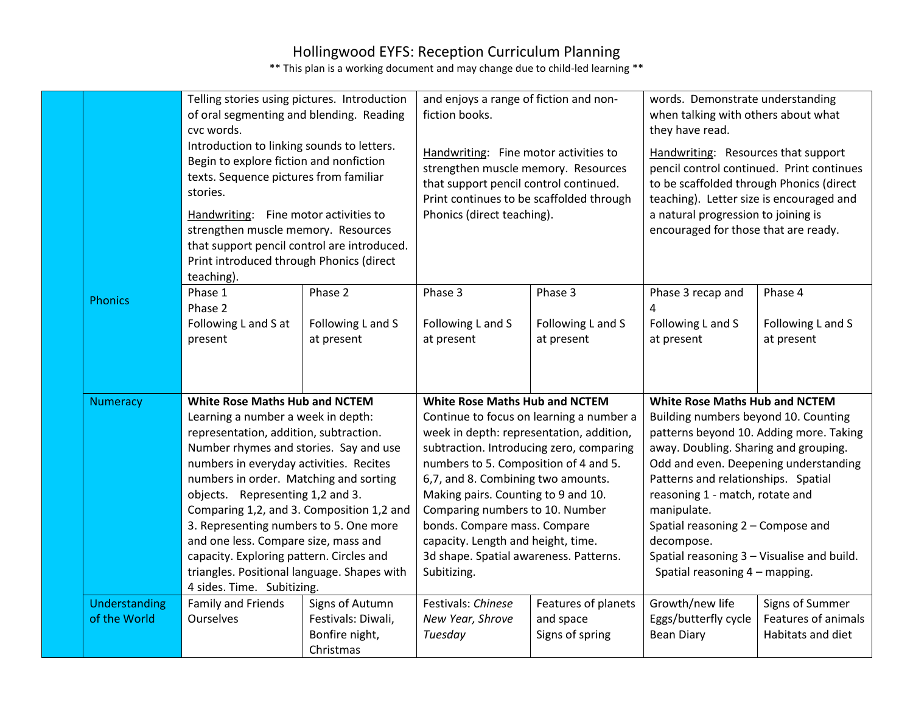|                               | and enjoys a range of fiction and non-<br>Telling stories using pictures. Introduction<br>of oral segmenting and blending. Reading<br>fiction books.<br>cvc words.<br>Introduction to linking sounds to letters.<br>Handwriting: Fine motor activities to<br>Begin to explore fiction and nonfiction<br>strengthen muscle memory. Resources<br>texts. Sequence pictures from familiar<br>that support pencil control continued.<br>stories.<br>Print continues to be scaffolded through<br>Phonics (direct teaching).<br>Handwriting: Fine motor activities to<br>strengthen muscle memory. Resources<br>that support pencil control are introduced.<br>Print introduced through Phonics (direct<br>teaching). |                                                                      |                                                                                                                                                                                                                                                                                                                                                                                                                       | words. Demonstrate understanding<br>when talking with others about what<br>they have read.<br>Handwriting: Resources that support<br>pencil control continued. Print continues<br>to be scaffolded through Phonics (direct<br>teaching). Letter size is encouraged and<br>a natural progression to joining is<br>encouraged for those that are ready. |                                                                                                                                                                                                                                                                                                                                                    |                                                                                  |
|-------------------------------|----------------------------------------------------------------------------------------------------------------------------------------------------------------------------------------------------------------------------------------------------------------------------------------------------------------------------------------------------------------------------------------------------------------------------------------------------------------------------------------------------------------------------------------------------------------------------------------------------------------------------------------------------------------------------------------------------------------|----------------------------------------------------------------------|-----------------------------------------------------------------------------------------------------------------------------------------------------------------------------------------------------------------------------------------------------------------------------------------------------------------------------------------------------------------------------------------------------------------------|-------------------------------------------------------------------------------------------------------------------------------------------------------------------------------------------------------------------------------------------------------------------------------------------------------------------------------------------------------|----------------------------------------------------------------------------------------------------------------------------------------------------------------------------------------------------------------------------------------------------------------------------------------------------------------------------------------------------|----------------------------------------------------------------------------------|
| <b>Phonics</b>                | Phase 1<br>Phase 2<br>Following L and S at<br>present                                                                                                                                                                                                                                                                                                                                                                                                                                                                                                                                                                                                                                                          | Phase 2<br>Following L and S<br>at present                           | Phase 3<br>Following L and S<br>at present                                                                                                                                                                                                                                                                                                                                                                            | Phase 3<br>Following L and S<br>at present                                                                                                                                                                                                                                                                                                            | Phase 3 recap and<br>4<br>Following L and S<br>at present                                                                                                                                                                                                                                                                                          | Phase 4<br>Following L and S<br>at present                                       |
| <b>Numeracy</b>               | <b>White Rose Maths Hub and NCTEM</b><br>Learning a number a week in depth:<br>representation, addition, subtraction.<br>Number rhymes and stories. Say and use<br>numbers in everyday activities. Recites<br>numbers in order. Matching and sorting<br>objects. Representing 1,2 and 3.<br>Comparing 1,2, and 3. Composition 1,2 and<br>3. Representing numbers to 5. One more<br>and one less. Compare size, mass and<br>capacity. Exploring pattern. Circles and<br>triangles. Positional language. Shapes with<br>4 sides. Time. Subitizing.                                                                                                                                                               |                                                                      | <b>White Rose Maths Hub and NCTEM</b><br>week in depth: representation, addition,<br>subtraction. Introducing zero, comparing<br>numbers to 5. Composition of 4 and 5.<br>6,7, and 8. Combining two amounts.<br>Making pairs. Counting to 9 and 10.<br>Comparing numbers to 10. Number<br>bonds. Compare mass. Compare<br>capacity. Length and height, time.<br>3d shape. Spatial awareness. Patterns.<br>Subitizing. | Continue to focus on learning a number a                                                                                                                                                                                                                                                                                                              | <b>White Rose Maths Hub and NCTEM</b><br>Building numbers beyond 10. Counting<br>away. Doubling. Sharing and grouping.<br>Patterns and relationships. Spatial<br>reasoning 1 - match, rotate and<br>manipulate.<br>Spatial reasoning 2 - Compose and<br>decompose.<br>Spatial reasoning 3 - Visualise and build.<br>Spatial reasoning 4 - mapping. | patterns beyond 10. Adding more. Taking<br>Odd and even. Deepening understanding |
| Understanding<br>of the World | Family and Friends<br><b>Ourselves</b>                                                                                                                                                                                                                                                                                                                                                                                                                                                                                                                                                                                                                                                                         | Signs of Autumn<br>Festivals: Diwali,<br>Bonfire night,<br>Christmas | Festivals: Chinese<br>New Year, Shrove<br>Tuesday                                                                                                                                                                                                                                                                                                                                                                     | Features of planets<br>and space<br>Signs of spring                                                                                                                                                                                                                                                                                                   | Growth/new life<br>Eggs/butterfly cycle<br><b>Bean Diary</b>                                                                                                                                                                                                                                                                                       | Signs of Summer<br>Features of animals<br>Habitats and diet                      |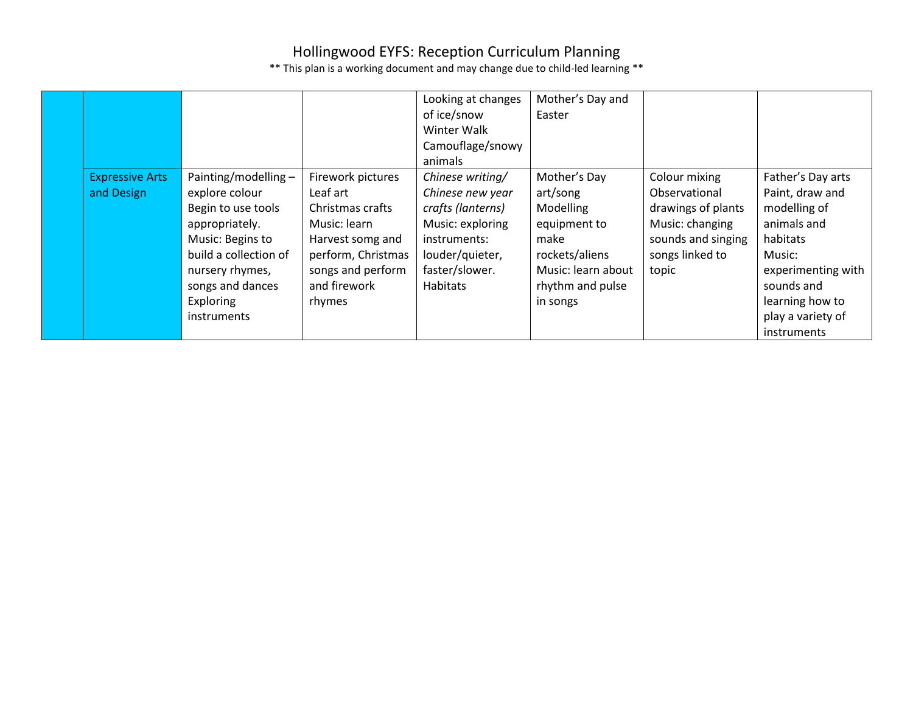|                        |                        |                    | Looking at changes | Mother's Day and   |                    |                    |
|------------------------|------------------------|--------------------|--------------------|--------------------|--------------------|--------------------|
|                        |                        |                    | of ice/snow        | Easter             |                    |                    |
|                        |                        |                    | Winter Walk        |                    |                    |                    |
|                        |                        |                    | Camouflage/snowy   |                    |                    |                    |
|                        |                        |                    | animals            |                    |                    |                    |
| <b>Expressive Arts</b> | Painting/modelling $-$ | Firework pictures  | Chinese writing/   | Mother's Day       | Colour mixing      | Father's Day arts  |
| and Design             | explore colour         | Leaf art           | Chinese new year   | art/song           | Observational      | Paint, draw and    |
|                        | Begin to use tools     | Christmas crafts   | crafts (lanterns)  | Modelling          | drawings of plants | modelling of       |
|                        | appropriately.         | Music: learn       | Music: exploring   | equipment to       | Music: changing    | animals and        |
|                        | Music: Begins to       | Harvest somg and   | instruments:       | make               | sounds and singing | habitats           |
|                        | build a collection of  | perform, Christmas | louder/quieter,    | rockets/aliens     | songs linked to    | Music:             |
|                        | nursery rhymes,        | songs and perform  | faster/slower.     | Music: learn about | topic              | experimenting with |
|                        | songs and dances       | and firework       | <b>Habitats</b>    | rhythm and pulse   |                    | sounds and         |
|                        | Exploring              | rhymes             |                    | in songs           |                    | learning how to    |
|                        | <i>instruments</i>     |                    |                    |                    |                    | play a variety of  |
|                        |                        |                    |                    |                    |                    | <i>instruments</i> |